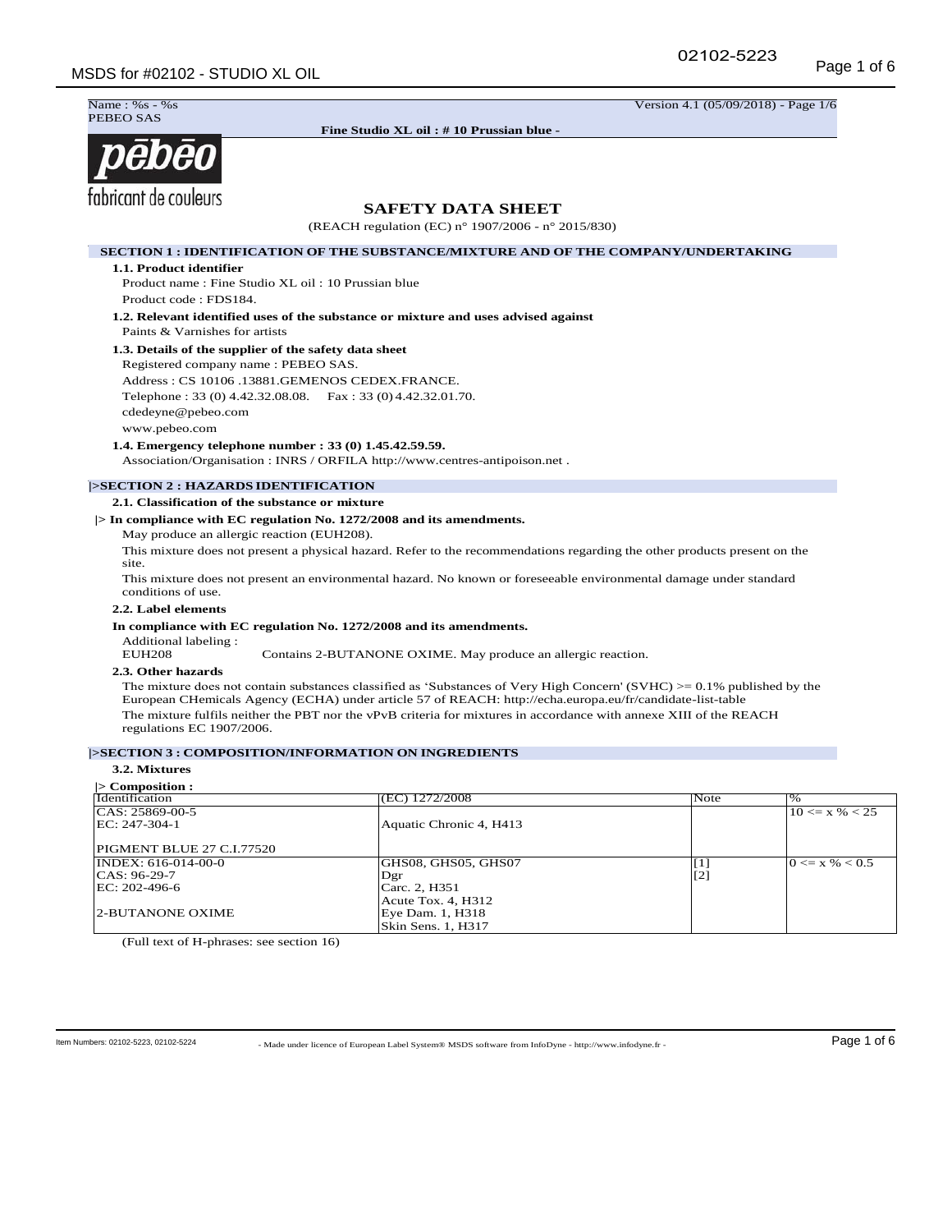02102-5223



**Fine Studio XL oil : # 10 Prussian blue - FDS184**

Name : %s - %s Version 4.1 (05/09/2018) - Page 1/6

# pēbēo fabricant de couleurs

# **SAFETY DATA SHEET**

(REACH regulation (EC) n° 1907/2006 - n° 2015/830)

# **SECTION 1 : IDENTIFICATION OF THE SUBSTANCE/MIXTURE AND OF THE COMPANY/UNDERTAKING**

**1.1. Product identifier** 

Product name : Fine Studio XL oil : 10 Prussian blue Product code : FDS184.

**1.2. Relevant identified uses of the substance or mixture and uses advised against**  Paints & Varnishes for artists

# **1.3. Details of the supplier of the safety data sheet**

Registered company name : PEBEO SAS. Address : CS 10106 .13881.GEMENOS CEDEX.FRANCE. Telephone : 33 (0) 4.42.32.08.08. Fax : 33 (0) 4.42.32.01.70. cdedeyne@pebeo.com www.pebeo.com

**1.4. Emergency telephone number : 33 (0) 1.45.42.59.59.** 

Association/Organisation : INRS / ORFILA http://www.centres-antipoison.net .

# **|>SECTION 2 : HAZARDS IDENTIFICATION**

**2.1. Classification of the substance or mixture** 

**|> In compliance with EC regulation No. 1272/2008 and its amendments.** 

May produce an allergic reaction (EUH208).

This mixture does not present a physical hazard. Refer to the recommendations regarding the other products present on the site.

This mixture does not present an environmental hazard. No known or foreseeable environmental damage under standard conditions of use.

#### **2.2. Label elements**

# **In compliance with EC regulation No. 1272/2008 and its amendments.**

Additional labeling :

Contains 2-BUTANONE OXIME. May produce an allergic reaction.

# **2.3. Other hazards**

The mixture does not contain substances classified as 'Substances of Very High Concern' (SVHC)  $> = 0.1\%$  published by the European CHemicals Agency (ECHA) under article 57 of REACH: http://echa.europa.eu/fr/candidate-list-table The mixture fulfils neither the PBT nor the vPvB criteria for mixtures in accordance with annexe XIII of the REACH regulations EC 1907/2006.

# **|>SECTION 3 : COMPOSITION/INFORMATION ON INGREDIENTS**

# **3.2. Mixtures**

| $\triangleright$ Composition : |                         |       |                    |
|--------------------------------|-------------------------|-------|--------------------|
| Identification                 | (EC) 1272/2008          | Note  | $\%$               |
| $ CAS: 25869-00-5$             |                         |       | $10 \le x \% < 25$ |
| EC: 247-304-1                  | Aquatic Chronic 4, H413 |       |                    |
| PIGMENT BLUE 27 C.I.77520      |                         |       |                    |
| INDEX: 616-014-00-0            | GHS08, GHS05, GHS07     | $[1]$ | $0 \le x \% < 0.5$ |
| $ CAS: 96-29-7$                | Dgr                     | $[2]$ |                    |
| EC: 202-496-6                  | Carc. 2, H351           |       |                    |
|                                | Acute Tox. 4, H312      |       |                    |
| <b>2-BUTANONE OXIME</b>        | Eye Dam. 1, H318        |       |                    |
|                                | Skin Sens. 1, H317      |       |                    |

(Full text of H-phrases: see section 16)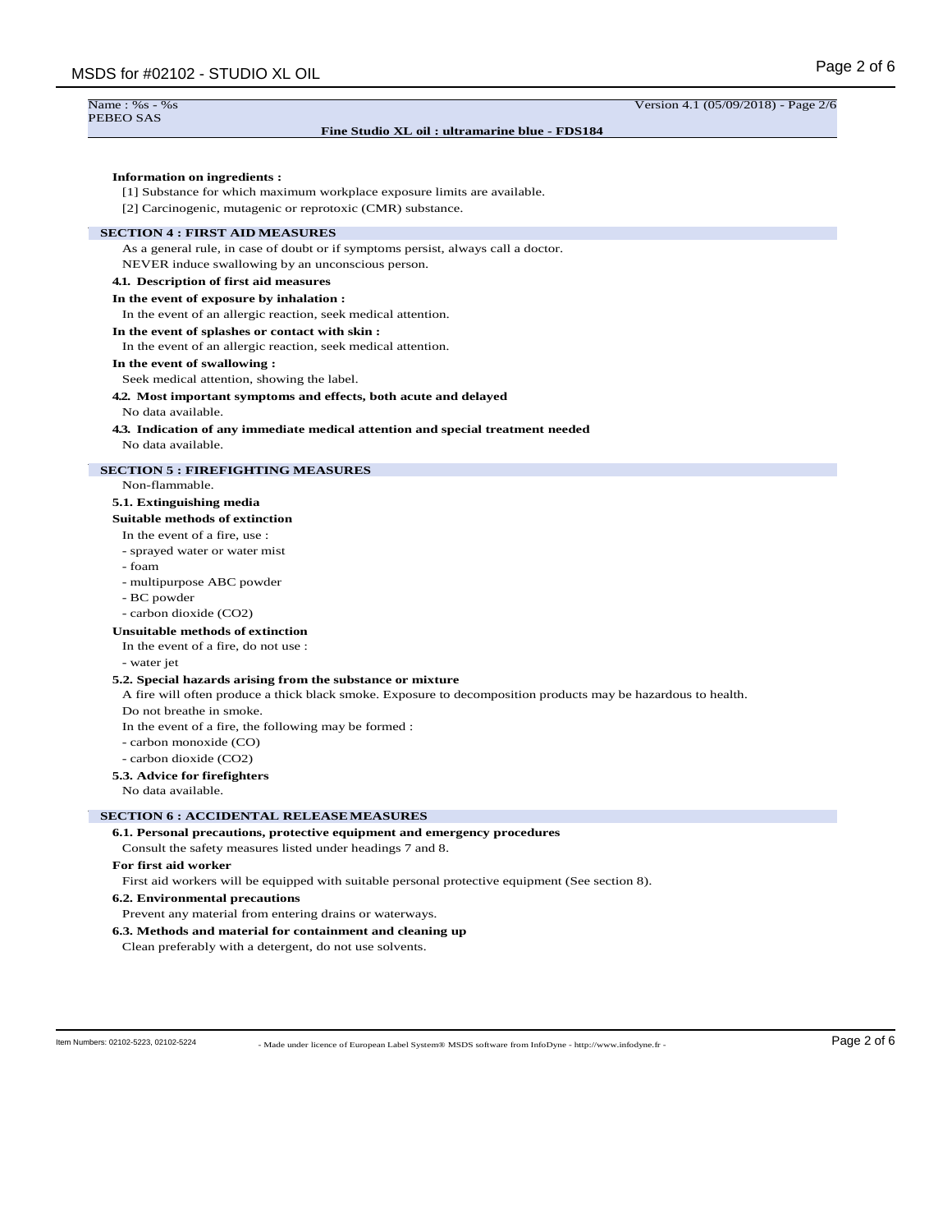Version 4.1 (05/09/2018) - Page 2/6

#### Name  $\cdot$  %s - %s PEBEO SAS

### **Fine Studio XL oil : ultramarine blue - FDS184**

# **Information on ingredients :**

[1] Substance for which maximum workplace exposure limits are available.

[2] Carcinogenic, mutagenic or reprotoxic (CMR) substance.

# **SECTION 4 : FIRST AID MEASURES**

As a general rule, in case of doubt or if symptoms persist, always call a doctor.

NEVER induce swallowing by an unconscious person.

# **4.1. Description of first aid measures**

# **In the event of exposure by inhalation :**

In the event of an allergic reaction, seek medical attention.

# **In the event of splashes or contact with skin :**

In the event of an allergic reaction, seek medical attention.

#### **In the event of swallowing :**

Seek medical attention, showing the label.

### **4.2. Most important symptoms and effects, both acute and delayed**

No data available.

#### **4.3. Indication of any immediate medical attention and special treatment needed** No data available.

# **SECTION 5 : FIREFIGHTING MEASURES**

# Non-flammable.

# **5.1. Extinguishing media**

#### **Suitable methods of extinction**

#### In the event of a fire, use :

- sprayed water or water mist
- foam
- multipurpose ABC powder
- BC powder
- carbon dioxide (CO2)

# **Unsuitable methods of extinction**

- In the event of a fire, do not use :
- water jet

#### **5.2. Special hazards arising from the substance or mixture**

A fire will often produce a thick black smoke. Exposure to decomposition products may be hazardous to health.

Do not breathe in smoke.

In the event of a fire, the following may be formed :

- carbon monoxide (CO)

- carbon dioxide (CO2)

#### **5.3. Advice for firefighters**

No data available.

# **SECTION 6 : ACCIDENTAL RELEASEMEASURES**

#### **6.1. Personal precautions, protective equipment and emergency procedures**

Consult the safety measures listed under headings 7 and 8.

**For first aid worker**

First aid workers will be equipped with suitable personal protective equipment (See section 8).

#### **6.2. Environmental precautions**

Prevent any material from entering drains or waterways.

# **6.3. Methods and material for containment and cleaning up**

Clean preferably with a detergent, do not use solvents.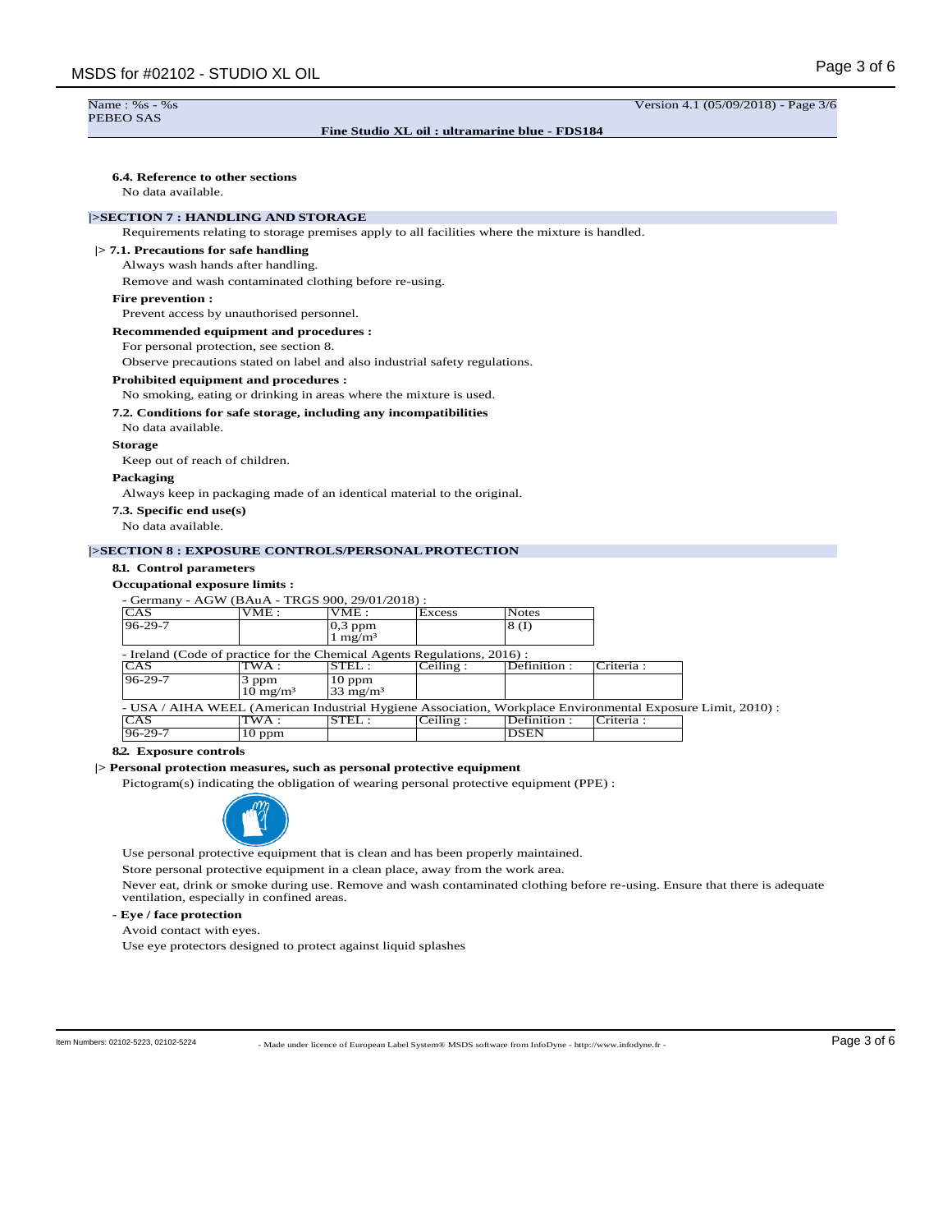#### Name  $\cdot$  %s - %s PEBEO SAS

# **Fine Studio XL oil : ultramarine blue - FDS184**

Version 4.1 (05/09/2018) - Page 3/6

# **6.4. Reference to other sections**

No data available.

# **|>SECTION 7 : HANDLING AND STORAGE**

Requirements relating to storage premises apply to all facilities where the mixture is handled.

**|> 7.1. Precautions for safe handling**

Always wash hands after handling.

Remove and wash contaminated clothing before re-using.

# **Fire prevention :**

Prevent access by unauthorised personnel.

**Recommended equipment and procedures :**

For personal protection, see section 8.

Observe precautions stated on label and also industrial safety regulations.

#### **Prohibited equipment and procedures :**

No smoking, eating or drinking in areas where the mixture is used.

#### **7.2. Conditions for safe storage, including any incompatibilities**

No data available.

#### **Storage**

Keep out of reach of children.

#### **Packaging**

Always keep in packaging made of an identical material to the original.

- **7.3. Specific end use(s)**
- No data available.

### **|>SECTION 8 : EXPOSURE CONTROLS/PERSONALPROTECTION**

# **8.1. Control parameters**

# **Occupational exposure limits :**

| - Germany - AGW (BAuA - TRGS 900, 29/01/2018) :                                                             |                              |                                 |          |              |            |  |
|-------------------------------------------------------------------------------------------------------------|------------------------------|---------------------------------|----------|--------------|------------|--|
| CAS                                                                                                         | VME:                         | VME:                            | Excess   | <b>Notes</b> |            |  |
| $96 - 29 - 7$                                                                                               |                              | $0,3$ ppm<br>$1 \text{ mg/m}^3$ |          | 8(I)         |            |  |
| - Ireland (Code of practice for the Chemical Agents Regulations, 2016) :                                    |                              |                                 |          |              |            |  |
| CAS                                                                                                         | TWA :                        | STEL:                           | Ceiling: | Definition:  | Criteria:  |  |
| $96 - 29 - 7$                                                                                               | 3 ppm<br>$10 \text{ mg/m}^3$ | $10$ ppm<br>$33 \text{ mg/m}^3$ |          |              |            |  |
| - USA / AIHA WEEL (American Industrial Hygiene Association, Workplace Environmental Exposure Limit, 2010) : |                              |                                 |          |              |            |  |
| CAS                                                                                                         | TWA :                        | STEL:                           | Ceiling: | Definition:  | Criteria : |  |
| $96 - 29 - 7$                                                                                               | $10$ ppm                     |                                 |          | <b>DSEN</b>  |            |  |

### **8.2. Exposure controls**

# **|> Personal protection measures, such as personal protective equipment**

Pictogram(s) indicating the obligation of wearing personal protective equipment (PPE) :



Use personal protective equipment that is clean and has been properly maintained.

Store personal protective equipment in a clean place, away from the work area.

Never eat, drink or smoke during use. Remove and wash contaminated clothing before re-using. Ensure that there is adequate ventilation, especially in confined areas.

**- Eye / face protection**

Avoid contact with eyes.

Use eye protectors designed to protect against liquid splashes

- Made under licence of European Label System® MSDS software from InfoDyne - http://www.infodyne.fr - Item Numbers: 02102-5223, 02102-5224 Page 3 of 6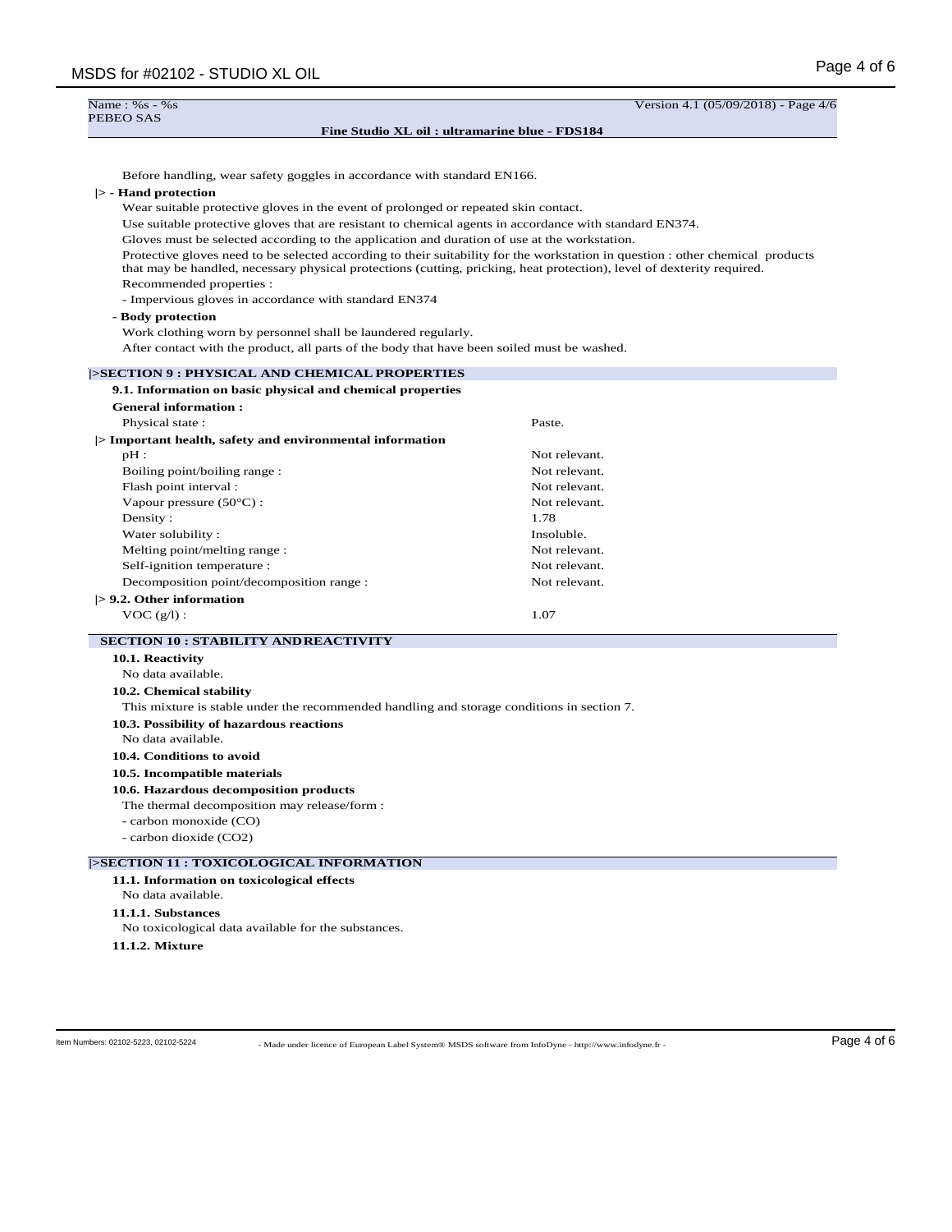| Name: $%s - %s$<br>PEBEO SAS                                                                 | Version 4.1 (05/09/2018) - Page                                                                                                                                                                                                                          |
|----------------------------------------------------------------------------------------------|----------------------------------------------------------------------------------------------------------------------------------------------------------------------------------------------------------------------------------------------------------|
|                                                                                              | Fine Studio XL oil: ultramarine blue - FDS184                                                                                                                                                                                                            |
| Before handling, wear safety goggles in accordance with standard EN166.                      |                                                                                                                                                                                                                                                          |
| $\triangleright$ - Hand protection                                                           |                                                                                                                                                                                                                                                          |
| Wear suitable protective gloves in the event of prolonged or repeated skin contact.          |                                                                                                                                                                                                                                                          |
|                                                                                              | Use suitable protective gloves that are resistant to chemical agents in accordance with standard EN374.                                                                                                                                                  |
| Gloves must be selected according to the application and duration of use at the workstation. |                                                                                                                                                                                                                                                          |
|                                                                                              | Protective gloves need to be selected according to their suitability for the workstation in question : other chemical products<br>that may be handled, necessary physical protections (cutting, pricking, heat protection), level of dexterity required. |
| Recommended properties :                                                                     |                                                                                                                                                                                                                                                          |
| - Impervious gloves in accordance with standard EN374                                        |                                                                                                                                                                                                                                                          |
| - Body protection                                                                            |                                                                                                                                                                                                                                                          |
| Work clothing worn by personnel shall be laundered regularly.                                |                                                                                                                                                                                                                                                          |
| After contact with the product, all parts of the body that have been soiled must be washed.  |                                                                                                                                                                                                                                                          |
| <b>SECTION 9 : PHYSICAL AND CHEMICAL PROPERTIES</b>                                          |                                                                                                                                                                                                                                                          |
| 9.1. Information on basic physical and chemical properties                                   |                                                                                                                                                                                                                                                          |
| <b>General information:</b>                                                                  |                                                                                                                                                                                                                                                          |
| Physical state:                                                                              | Paste.                                                                                                                                                                                                                                                   |
|                                                                                              |                                                                                                                                                                                                                                                          |

| Physical state:                                          | Paste.        |
|----------------------------------------------------------|---------------|
| > Important health, safety and environmental information |               |
| $pH$ :                                                   | Not relevant. |
| Boiling point/boiling range:                             | Not relevant. |
| Flash point interval :                                   | Not relevant. |
| Vapour pressure $(50^{\circ}C)$ :                        | Not relevant. |
| Density:                                                 | 1.78          |
| Water solubility:                                        | Insoluble.    |
| Melting point/melting range:                             | Not relevant. |
| Self-ignition temperature :                              | Not relevant. |
| Decomposition point/decomposition range :                | Not relevant. |
| $\mathrel{>}$ 9.2. Other information                     |               |
| VOC(g/l):                                                | 1.07          |

# **SECTION 10 : STABILITY ANDREACTIVITY**

**10.1. Reactivity** No data available. **10.2. Chemical stability**

This mixture is stable under the recommended handling and storage conditions in section 7.

# **10.3. Possibility of hazardous reactions**

No data available.

**10.4. Conditions to avoid**

# **10.5. Incompatible materials**

**10.6. Hazardous decomposition products**

The thermal decomposition may release/form :

- carbon monoxide (CO)

- carbon dioxide (CO2)

# **|>SECTION 11 : TOXICOLOGICAL INFORMATION**

**11.1. Information on toxicological effects** No data available. **11.1.1. Substances**

No toxicological data available for the substances.

**11.1.2. Mixture**

- Made under licence of European Label System® MSDS software from InfoDyne - http://www.infodyne.fr - Item Numbers: 02102-5223, 02102-5224 Page 4 of 6

 $\frac{4}{6}$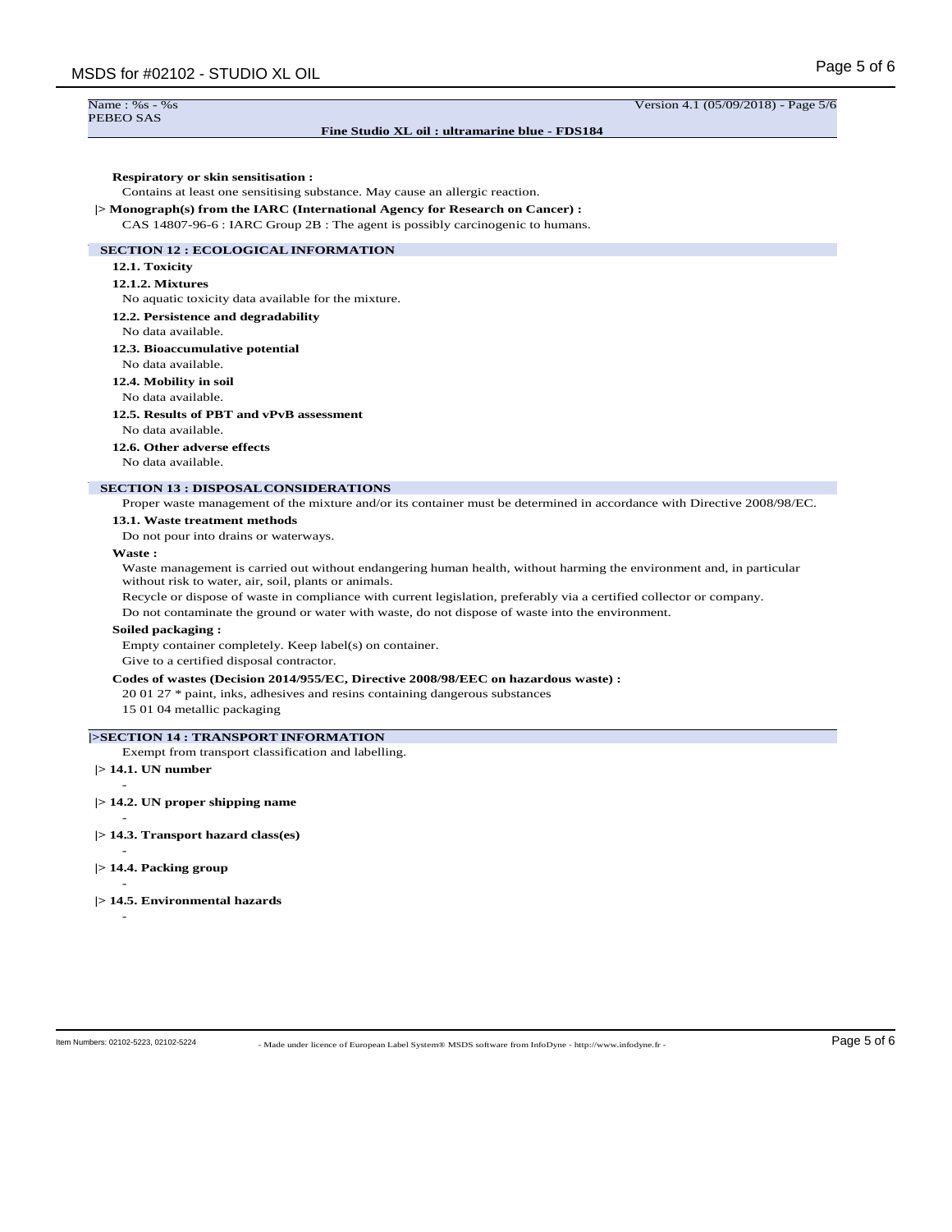# **Fine Studio XL oil : ultramarine blue - FDS184**

Version 4.1 (05/09/2018) - Page 5/6

### **Respiratory or skin sensitisation :**

Contains at least one sensitising substance. May cause an allergic reaction.

**|> Monograph(s) from the IARC (International Agency for Research on Cancer) :** CAS 14807-96-6 : IARC Group 2B : The agent is possibly carcinogenic to humans.

# **SECTION 12 : ECOLOGICALINFORMATION**

# **12.1. Toxicity**

# **12.1.2. Mixtures**

No aquatic toxicity data available for the mixture.

# **12.2. Persistence and degradability**

No data available.

# **12.3. Bioaccumulative potential**

No data available.

# **12.4. Mobility in soil**

No data available.

# **12.5. Results of PBT and vPvB assessment**

No data available.

# **12.6. Other adverse effects**

No data available.

# **SECTION 13 : DISPOSALCONSIDERATIONS**

Proper waste management of the mixture and/or its container must be determined in accordance with Directive 2008/98/EC.

#### **13.1. Waste treatment methods**

Do not pour into drains or waterways.

#### **Waste :**

Waste management is carried out without endangering human health, without harming the environment and, in particular without risk to water, air, soil, plants or animals.

Recycle or dispose of waste in compliance with current legislation, preferably via a certified collector or company.

Do not contaminate the ground or water with waste, do not dispose of waste into the environment.

#### **Soiled packaging :**

Empty container completely. Keep label(s) on container.

Give to a certified disposal contractor.

# **Codes of wastes (Decision 2014/955/EC, Directive 2008/98/EEC on hazardous waste) :**

20 01 27 \* paint, inks, adhesives and resins containing dangerous substances

15 01 04 metallic packaging

# **|>SECTION 14 : TRANSPORT INFORMATION**

Exempt from transport classification and labelling.

# **|> 14.1. UN number** -

- **|> 14.2. UN proper shipping name**
- **|> 14.3. Transport hazard class(es)**

# - **|> 14.4. Packing group**

-

**|> 14.5. Environmental hazards**

-